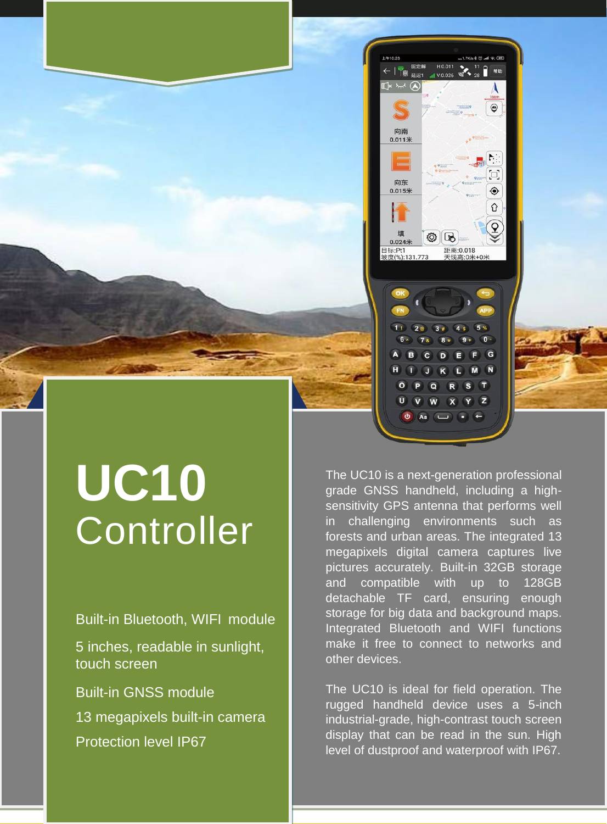

## **UC10 Controller**

Built-in Bluetooth, WIFI module 5 inches, readable in sunlight, touch screen Built-in GNSS module 13 megapixels built-in camera Protection level IP67

The UC10 is a next-generation professional grade GNSS handheld, including a highsensitivity GPS antenna that performs well in challenging environments such as forests and urban areas. The integrated 13 megapixels digital camera captures live pictures accurately. Built-in 32GB storage and compatible with up to 128GB detachable TF card, ensuring enough storage for big data and background maps. Integrated Bluetooth and WIFI functions make it free to connect to networks and other devices.

 $U$   $\hat{V}$   $\hat{W}$ 

Aa

 $\overline{c}$ 

 $M$   $N$  $\sqrt{1}$ 

 $\hat{\mathbf{x}}$   $\hat{\mathbf{y}}$   $\hat{\mathbf{z}}$ 

The UC10 is ideal for field operation. The rugged handheld device uses a 5-inch industrial-grade, high-contrast touch screen display that can be read in the sun. High level of dustproof and waterproof with IP67.